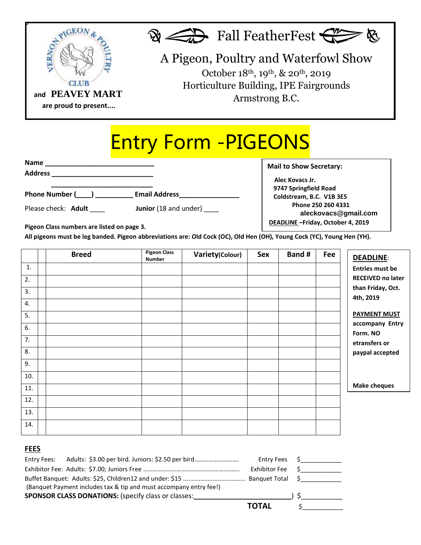

## Entry Form -PIGEONS

| <b>Name</b>                    |                                   |
|--------------------------------|-----------------------------------|
| <b>Address</b>                 |                                   |
|                                |                                   |
| Phone Number (____) __________ | <b>Email Address</b>              |
| Please check: Adult            | <b>Junior</b> (18 and under) ____ |

**Mail to Show Secretary: Alec Kovacs Jr. 9747 Springfield Road Coldstream, B.C. V1B 3E5 Phone 250 260 4331 aleckovacs@gmail.com DEADLINE –Friday, October 4, 2019**

**Pigeon Class numbers are listed on page 3.**

 $\blacksquare$ All pigeons must be leg banded. Pigeon abbreviations are: Old Cock (OC), Old Hen (OH), Young Cock (YC), Young Hen (YH).

|             | <b>Breed</b> | <b>Pigeon Class</b><br>Number | Variety(Colour) | Sex | Band # | Fee | DEADLINE:                      |
|-------------|--------------|-------------------------------|-----------------|-----|--------|-----|--------------------------------|
| 1.          |              |                               |                 |     |        |     | <b>Entries must be</b>         |
| 2.          |              |                               |                 |     |        |     | <b>RECEIVED no later</b>       |
| 3.          |              |                               |                 |     |        |     | than Friday, Oct.<br>4th, 2019 |
| 4.          |              |                               |                 |     |        |     |                                |
| 5.          |              |                               |                 |     |        |     | <b>PAYMENT MUST</b>            |
| 6.          |              |                               |                 |     |        |     | accompany Entry<br>Form. NO    |
| 7.          |              |                               |                 |     |        |     | etransfers or                  |
| 8.          |              |                               |                 |     |        |     | paypal accepted                |
| 9.          |              |                               |                 |     |        |     |                                |
| 10.         |              |                               |                 |     |        |     |                                |
| 11.         |              |                               |                 |     |        |     | <b>Make cheques</b>            |
| 12.         |              |                               |                 |     |        |     |                                |
| 13.         |              |                               |                 |     |        |     |                                |
| 14.         |              |                               |                 |     |        |     |                                |
|             |              |                               |                 |     |        |     |                                |
| <b>FEES</b> |              |                               |                 |     |        |     |                                |

|                                                                    | <b>Entry Fees</b> | $\mathsf{S}$ and $\mathsf{S}$ and $\mathsf{S}$ and $\mathsf{S}$ and $\mathsf{S}$ and $\mathsf{S}$ and $\mathsf{S}$ and $\mathsf{S}$ and $\mathsf{S}$ and $\mathsf{S}$ and $\mathsf{S}$ and $\mathsf{S}$ and $\mathsf{S}$ and $\mathsf{S}$ and $\mathsf{S}$ and $\mathsf{S}$ and $\mathsf{S}$ and |
|--------------------------------------------------------------------|-------------------|--------------------------------------------------------------------------------------------------------------------------------------------------------------------------------------------------------------------------------------------------------------------------------------------------|
|                                                                    | Exhibitor Fee     |                                                                                                                                                                                                                                                                                                  |
|                                                                    |                   |                                                                                                                                                                                                                                                                                                  |
| (Banquet Payment includes tax & tip and must accompany entry fee!) |                   |                                                                                                                                                                                                                                                                                                  |
| <b>SPONSOR CLASS DONATIONS:</b> (specify class or classes:         |                   |                                                                                                                                                                                                                                                                                                  |
|                                                                    | <b>TOTAL</b>      |                                                                                                                                                                                                                                                                                                  |
|                                                                    |                   |                                                                                                                                                                                                                                                                                                  |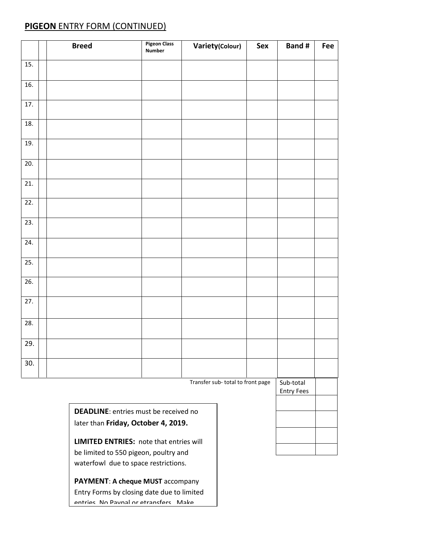## **PIGEON** ENTRY FORM (CONTINUED)

|                   | <b>Breed</b> | <b>Pigeon Class</b><br><b>Number</b> | Variety(Colour)                  | Sex | <b>Band#</b> | Fee |
|-------------------|--------------|--------------------------------------|----------------------------------|-----|--------------|-----|
| 15.               |              |                                      |                                  |     |              |     |
| 16.               |              |                                      |                                  |     |              |     |
| 17.               |              |                                      |                                  |     |              |     |
| 18.               |              |                                      |                                  |     |              |     |
| 19.               |              |                                      |                                  |     |              |     |
| 20.               |              |                                      |                                  |     |              |     |
| $\overline{21}$ . |              |                                      |                                  |     |              |     |
| 22.               |              |                                      |                                  |     |              |     |
| $\overline{23}$ . |              |                                      |                                  |     |              |     |
| 24.               |              |                                      |                                  |     |              |     |
| 25.               |              |                                      |                                  |     |              |     |
| $\overline{26}$ . |              |                                      |                                  |     |              |     |
| 27.               |              |                                      |                                  |     |              |     |
| 28.               |              |                                      |                                  |     |              |     |
| 29.               |              |                                      |                                  |     |              |     |
| 30.               |              |                                      |                                  |     |              |     |
|                   |              |                                      | Transfer sub-total to front page |     | Sub-total    |     |

**DEADLINE**: entries must be received no later than **Friday, October 4, 2019.**

**LIMITED ENTRIES:** note that entries will be limited to 550 pigeon, poultry and waterfowl due to space restrictions.

**PAYMENT**: **A cheque MUST** accompany Entry Forms by closing date due to limited entries. No Paypal or etransfers. Make

| <b>Entry Fees</b> |  |
|-------------------|--|
|                   |  |
|                   |  |
|                   |  |
|                   |  |
|                   |  |